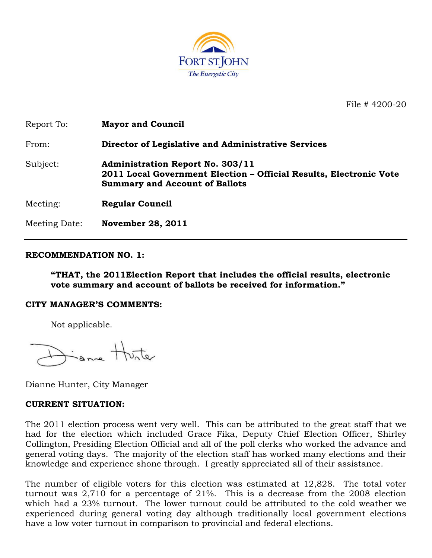

File # 4200-20

| Report To:    | <b>Mayor and Council</b>                                                                                                                               |
|---------------|--------------------------------------------------------------------------------------------------------------------------------------------------------|
| From:         | Director of Legislative and Administrative Services                                                                                                    |
| Subject:      | <b>Administration Report No. 303/11</b><br>2011 Local Government Election – Official Results, Electronic Vote<br><b>Summary and Account of Ballots</b> |
| Meeting:      | <b>Regular Council</b>                                                                                                                                 |
| Meeting Date: | <b>November 28, 2011</b>                                                                                                                               |

## **RECOMMENDATION NO. 1:**

**"THAT, the 2011Election Report that includes the official results, electronic vote summary and account of ballots be received for information."**

#### **CITY MANAGER'S COMMENTS:**

Not applicable.

Same Hunter

Dianne Hunter, City Manager

## **CURRENT SITUATION:**

The 2011 election process went very well. This can be attributed to the great staff that we had for the election which included Grace Fika, Deputy Chief Election Officer, Shirley Collington, Presiding Election Official and all of the poll clerks who worked the advance and general voting days. The majority of the election staff has worked many elections and their knowledge and experience shone through. I greatly appreciated all of their assistance.

The number of eligible voters for this election was estimated at 12,828. The total voter turnout was 2,710 for a percentage of 21%. This is a decrease from the 2008 election which had a 23% turnout. The lower turnout could be attributed to the cold weather we experienced during general voting day although traditionally local government elections have a low voter turnout in comparison to provincial and federal elections.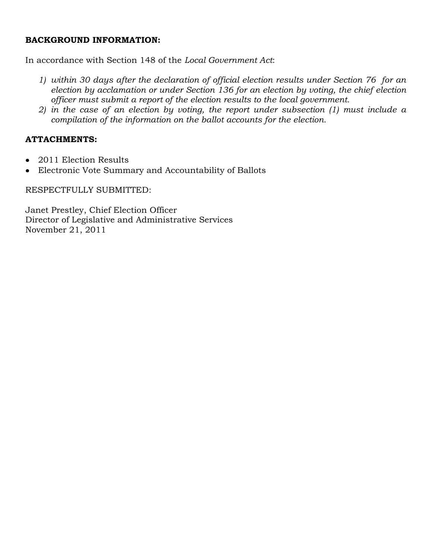## **BACKGROUND INFORMATION:**

In accordance with Section 148 of the *Local Government Act*:

- *1) within 30 days after the declaration of official election results under Section 76 for an election by acclamation or under Section 136 for an election by voting, the chief election officer must submit a report of the election results to the local government.*
- *2) in the case of an election by voting, the report under subsection (1) must include a compilation of the information on the ballot accounts for the election.*

# **ATTACHMENTS:**

- 2011 Election Results  $\bullet$
- Electronic Vote Summary and Accountability of Ballots  $\bullet$

RESPECTFULLY SUBMITTED:

Janet Prestley, Chief Election Officer Director of Legislative and Administrative Services November 21, 2011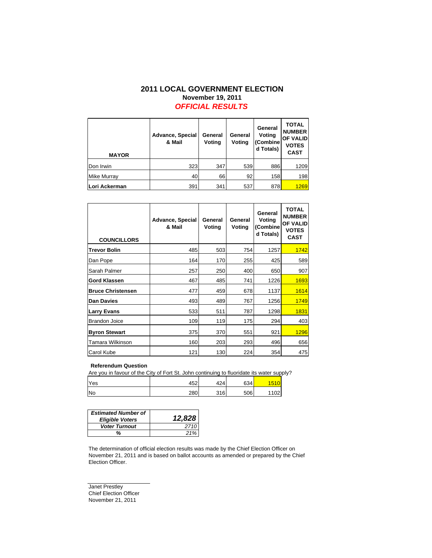### **2011 LOCAL GOVERNMENT ELECTION November 19, 2011** *OFFICIAL RESULTS*

| <b>MAYOR</b>       | <b>Advance, Special</b><br>& Mail | General<br>Voting | General<br>Voting | General<br>Voting<br>(Combine<br>d Totals) | <b>TOTAL</b><br><b>NUMBER</b><br>OF VALID<br><b>VOTES</b><br><b>CAST</b> |
|--------------------|-----------------------------------|-------------------|-------------------|--------------------------------------------|--------------------------------------------------------------------------|
| Don Irwin          | 323                               | 347               | 539               | 886                                        | 1209                                                                     |
| <b>Mike Murray</b> | 40                                | 66                | 92                | 158                                        | 198                                                                      |
| Lori Ackerman      | 391                               | 341               | 537               | 878                                        | 1269                                                                     |

| <b>COUNCILLORS</b>       | <b>Advance, Special</b><br>& Mail | General<br>Voting | General<br>Voting | General<br>Voting<br>(Combine<br>d Totals) | <b>TOTAL</b><br><b>NUMBER</b><br><b>OF VALID</b><br><b>VOTES</b><br><b>CAST</b> |
|--------------------------|-----------------------------------|-------------------|-------------------|--------------------------------------------|---------------------------------------------------------------------------------|
| <b>Trevor Bolin</b>      | 485                               | 503               | 754               | 1257                                       | 1742                                                                            |
| Dan Pope                 | 164                               | 170               | 255               | 425                                        | 589                                                                             |
| Sarah Palmer             | 257                               | 250               | 400               | 650                                        | 907                                                                             |
| <b>Gord Klassen</b>      | 467                               | 485               | 741               | 1226                                       | 1693                                                                            |
| <b>Bruce Christensen</b> | 477                               | 459               | 678               | 1137                                       | 1614                                                                            |
| Dan Davies               | 493                               | 489               | 767               | 1256                                       | 1749                                                                            |
| <b>Larry Evans</b>       | 533                               | 511               | 787               | 1298                                       | 1831                                                                            |
| <b>Brandon Joice</b>     | 109                               | 119               | 175               | 294                                        | 403                                                                             |
| <b>Byron Stewart</b>     | 375                               | 370               | 551               | 921                                        | 1296                                                                            |
| Tamara Wilkinson         | 160                               | 203               | 293               | 496                                        | 656                                                                             |
| <b>Carol Kube</b>        | 121                               | 130               | 224               | 354                                        | 475                                                                             |

#### **Referendum Question**

Are you in favour of the City of Fort St. John continuing to fluoridate its water supply?

| Yes | 452 | 424 | 634 |      |
|-----|-----|-----|-----|------|
| No  | 280 | 316 | 506 | 1102 |

| <b>Estimated Number of</b><br><b>Eligible Voters</b> | 12,828 |
|------------------------------------------------------|--------|
| <b>Voter Turnout</b>                                 | 2710   |
| %                                                    | 21%    |

The determination of official election results was made by the Chief Election Officer on November 21, 2011 and is based on ballot accounts as amended or prepared by the Chief Election Officer.

Janet Prestley Chief Election Officer November 21, 2011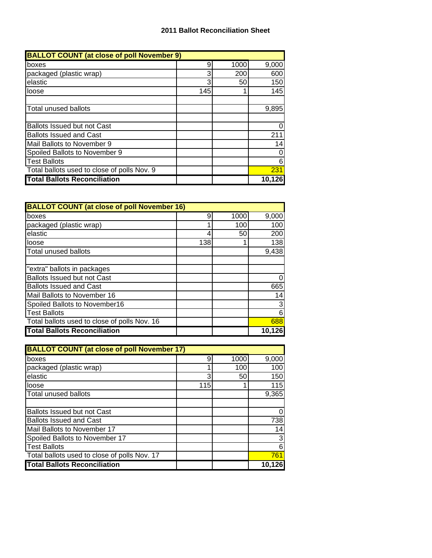| <b>BALLOT COUNT (at close of poll November 9)</b> |     |      |        |  |
|---------------------------------------------------|-----|------|--------|--|
| boxes                                             | 9   | 1000 | 9,000  |  |
| packaged (plastic wrap)                           | 3   | 200  | 600    |  |
| elastic                                           | 3   | 50   | 150    |  |
| loose                                             | 145 |      | 145    |  |
|                                                   |     |      |        |  |
| <b>Total unused ballots</b>                       |     |      | 9,895  |  |
|                                                   |     |      |        |  |
| <b>Ballots Issued but not Cast</b>                |     |      |        |  |
| <b>Ballots Issued and Cast</b>                    |     |      | 211    |  |
| Mail Ballots to November 9                        |     |      | 14     |  |
| Spoiled Ballots to November 9                     |     |      |        |  |
| <b>Test Ballots</b>                               |     |      | 6      |  |
| Total ballots used to close of polls Nov. 9       |     |      | 231    |  |
| <b>Total Ballots Reconciliation</b>               |     |      | 10,126 |  |

| <b>BALLOT COUNT (at close of poll November 16)</b> |     |      |        |  |
|----------------------------------------------------|-----|------|--------|--|
| boxes                                              | 9   | 1000 | 9,000  |  |
| packaged (plastic wrap)                            |     | 100  | 100    |  |
| elastic                                            | 4   | 50   | 200    |  |
| loose                                              | 138 |      | 138    |  |
| Total unused ballots                               |     |      | 9,438  |  |
|                                                    |     |      |        |  |
| "extra" ballots in packages                        |     |      |        |  |
| <b>Ballots Issued but not Cast</b>                 |     |      |        |  |
| <b>Ballots Issued and Cast</b>                     |     |      | 665    |  |
| Mail Ballots to November 16                        |     |      | 14     |  |
| Spoiled Ballots to November16                      |     |      | 3      |  |
| <b>Test Ballots</b>                                |     |      | 6      |  |
| Total ballots used to close of polls Nov. 16       |     |      | 688    |  |
| <b>Total Ballots Reconciliation</b>                |     |      | 10,126 |  |

| <b>BALLOT COUNT (at close of poll November 17)</b> |     |      |        |  |
|----------------------------------------------------|-----|------|--------|--|
| boxes                                              | 9   | 1000 | 9,000  |  |
| packaged (plastic wrap)                            |     | 100  | 100    |  |
| elastic                                            | 3   | 50   | 150    |  |
| loose                                              | 115 |      | 115    |  |
| Total unused ballots                               |     |      | 9,365  |  |
|                                                    |     |      |        |  |
| Ballots Issued but not Cast                        |     |      | 0      |  |
| <b>Ballots Issued and Cast</b>                     |     |      | 738    |  |
| Mail Ballots to November 17                        |     |      | 14     |  |
| Spoiled Ballots to November 17                     |     |      | 3      |  |
| <b>Test Ballots</b>                                |     |      | 6      |  |
| Total ballots used to close of polls Nov. 17       |     |      | 761    |  |
| <b>Total Ballots Reconciliation</b>                |     |      | 10.126 |  |